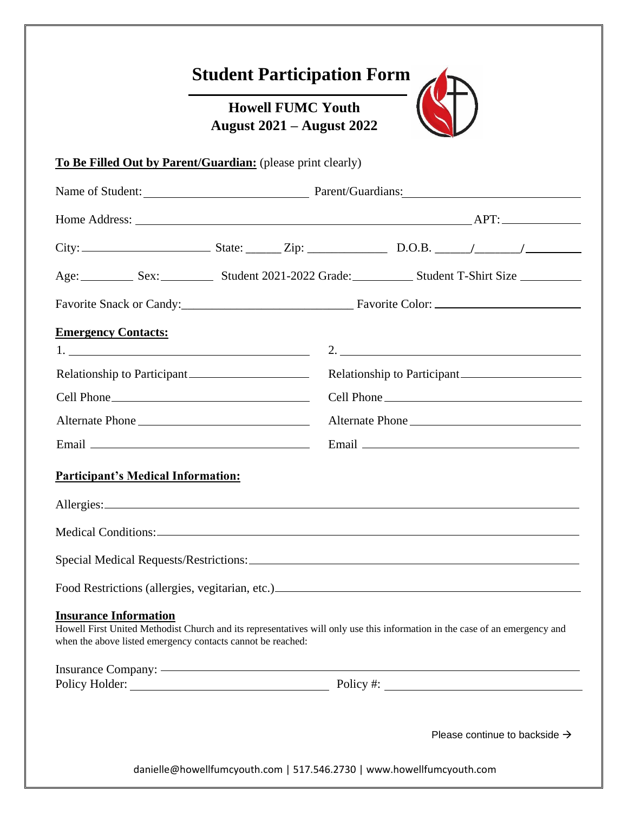|                                                                                             | <b>Howell FUMC Youth</b><br><b>August 2021 – August 2022</b> |                                                                                                                             |
|---------------------------------------------------------------------------------------------|--------------------------------------------------------------|-----------------------------------------------------------------------------------------------------------------------------|
| To Be Filled Out by Parent/Guardian: (please print clearly)                                 |                                                              |                                                                                                                             |
|                                                                                             |                                                              |                                                                                                                             |
|                                                                                             |                                                              |                                                                                                                             |
|                                                                                             |                                                              |                                                                                                                             |
|                                                                                             |                                                              | Age: Sex: Sex: Student 2021-2022 Grade: Student T-Shirt Size                                                                |
|                                                                                             |                                                              | Favorite Snack or Candy: Favorite Color:                                                                                    |
| <b>Emergency Contacts:</b>                                                                  |                                                              | 2. $\qquad \qquad$                                                                                                          |
| Relationship to Participant                                                                 |                                                              | Relationship to Participant                                                                                                 |
|                                                                                             |                                                              |                                                                                                                             |
| Alternate Phone                                                                             |                                                              | Alternate Phone                                                                                                             |
|                                                                                             |                                                              |                                                                                                                             |
| <b>Participant's Medical Information:</b>                                                   |                                                              |                                                                                                                             |
|                                                                                             |                                                              |                                                                                                                             |
|                                                                                             |                                                              |                                                                                                                             |
|                                                                                             |                                                              |                                                                                                                             |
|                                                                                             |                                                              |                                                                                                                             |
|                                                                                             |                                                              |                                                                                                                             |
|                                                                                             |                                                              | Howell First United Methodist Church and its representatives will only use this information in the case of an emergency and |
| <b>Insurance Information</b><br>when the above listed emergency contacts cannot be reached: |                                                              |                                                                                                                             |

Please continue to backside  $\rightarrow$ 

danielle@howellfumcyouth.com | 517.546.2730 | www.howellfumcyouth.com